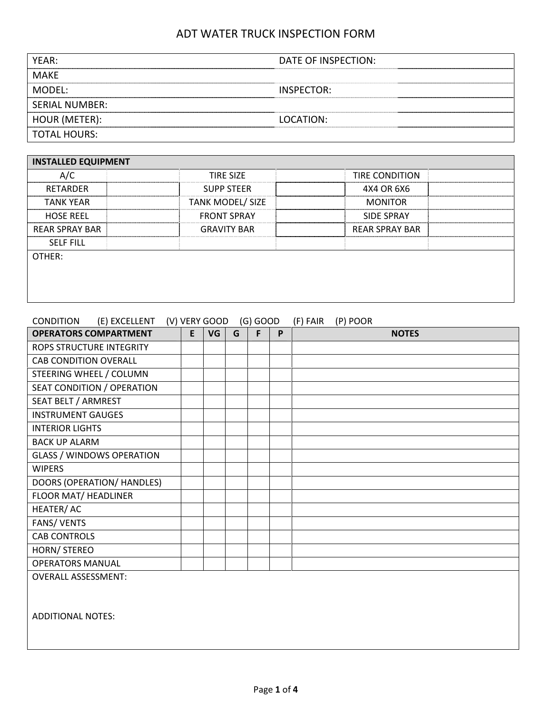| YEAR:                 | DATE OF INSPECTION: |
|-----------------------|---------------------|
| <b>MAKE</b>           |                     |
| MODFL:                | INSPECTOR:          |
| <b>SERIAL NUMBER:</b> |                     |
| HOUR (METER):         | LOCATION:           |
| <b>TOTAL HOURS:</b>   |                     |

| <b>INSTALLED EQUIPMENT</b> |  |                         |  |                       |  |  |  |  |  |  |
|----------------------------|--|-------------------------|--|-----------------------|--|--|--|--|--|--|
| A/C                        |  | <b>TIRE SIZE</b>        |  | <b>TIRE CONDITION</b> |  |  |  |  |  |  |
| <b>RETARDER</b>            |  | <b>SUPP STEER</b>       |  | 4X4 OR 6X6            |  |  |  |  |  |  |
| <b>TANK YEAR</b>           |  | <b>TANK MODEL/ SIZE</b> |  | <b>MONITOR</b>        |  |  |  |  |  |  |
| <b>HOSE REEL</b>           |  | <b>FRONT SPRAY</b>      |  | <b>SIDE SPRAY</b>     |  |  |  |  |  |  |
| <b>REAR SPRAY BAR</b>      |  | <b>GRAVITY BAR</b>      |  | <b>REAR SPRAY BAR</b> |  |  |  |  |  |  |
| <b>SELF FILL</b>           |  |                         |  |                       |  |  |  |  |  |  |
| OTHER:                     |  |                         |  |                       |  |  |  |  |  |  |
|                            |  |                         |  |                       |  |  |  |  |  |  |
|                            |  |                         |  |                       |  |  |  |  |  |  |
|                            |  |                         |  |                       |  |  |  |  |  |  |

| (E) EXCELLENT (V) VERY GOOD<br><b>CONDITION</b> |   |    |   | $(G)$ GOOD |   | (F) FAIR | (P) POOR     |
|-------------------------------------------------|---|----|---|------------|---|----------|--------------|
| <b>OPERATORS COMPARTMENT</b>                    | E | VG | G | F.         | P |          | <b>NOTES</b> |
| ROPS STRUCTURE INTEGRITY                        |   |    |   |            |   |          |              |
| <b>CAB CONDITION OVERALL</b>                    |   |    |   |            |   |          |              |
| STEERING WHEEL / COLUMN                         |   |    |   |            |   |          |              |
| SEAT CONDITION / OPERATION                      |   |    |   |            |   |          |              |
| SEAT BELT / ARMREST                             |   |    |   |            |   |          |              |
| <b>INSTRUMENT GAUGES</b>                        |   |    |   |            |   |          |              |
| <b>INTERIOR LIGHTS</b>                          |   |    |   |            |   |          |              |
| <b>BACK UP ALARM</b>                            |   |    |   |            |   |          |              |
| <b>GLASS / WINDOWS OPERATION</b>                |   |    |   |            |   |          |              |
| <b>WIPERS</b>                                   |   |    |   |            |   |          |              |
| DOORS (OPERATION/ HANDLES)                      |   |    |   |            |   |          |              |
| FLOOR MAT/ HEADLINER                            |   |    |   |            |   |          |              |
| HEATER/AC                                       |   |    |   |            |   |          |              |
| <b>FANS/ VENTS</b>                              |   |    |   |            |   |          |              |
| <b>CAB CONTROLS</b>                             |   |    |   |            |   |          |              |
| HORN/ STEREO                                    |   |    |   |            |   |          |              |
| <b>OPERATORS MANUAL</b>                         |   |    |   |            |   |          |              |
| <b>OVERALL ASSESSMENT:</b>                      |   |    |   |            |   |          |              |
|                                                 |   |    |   |            |   |          |              |
|                                                 |   |    |   |            |   |          |              |
| <b>ADDITIONAL NOTES:</b>                        |   |    |   |            |   |          |              |
|                                                 |   |    |   |            |   |          |              |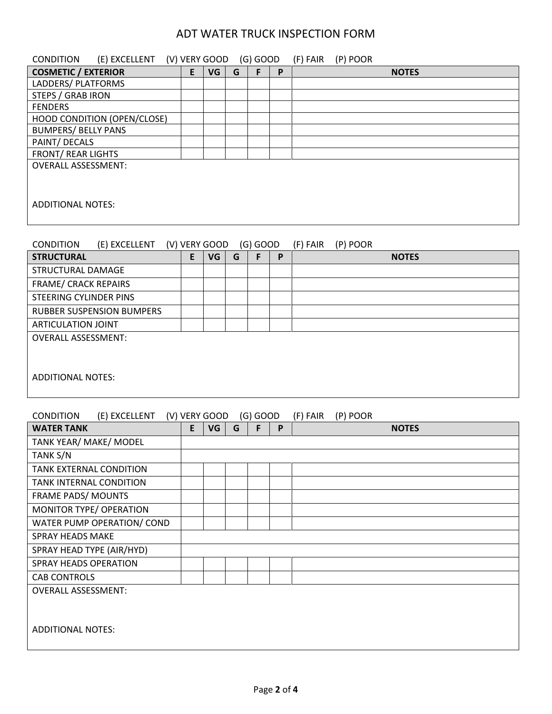| <b>CONDITION</b><br>(E) EXCELLENT          |   | (V) VERY GOOD |   | (G) GOOD   |   | (F) FAIR<br>(P) POOR |  |  |
|--------------------------------------------|---|---------------|---|------------|---|----------------------|--|--|
| <b>COSMETIC / EXTERIOR</b>                 | E | VG            | G | F          | P | <b>NOTES</b>         |  |  |
| LADDERS/ PLATFORMS                         |   |               |   |            |   |                      |  |  |
| STEPS / GRAB IRON                          |   |               |   |            |   |                      |  |  |
| <b>FENDERS</b>                             |   |               |   |            |   |                      |  |  |
| HOOD CONDITION (OPEN/CLOSE)                |   |               |   |            |   |                      |  |  |
| <b>BUMPERS/ BELLY PANS</b>                 |   |               |   |            |   |                      |  |  |
| PAINT/ DECALS<br><b>FRONT/ REAR LIGHTS</b> |   |               |   |            |   |                      |  |  |
| <b>OVERALL ASSESSMENT:</b>                 |   |               |   |            |   |                      |  |  |
| <b>ADDITIONAL NOTES:</b>                   |   |               |   |            |   |                      |  |  |
| <b>CONDITION</b><br>(E) EXCELLENT          |   | (V) VERY GOOD |   | $(G)$ GOOD |   | (F) FAIR<br>(P) POOR |  |  |
| <b>STRUCTURAL</b>                          | E | VG            | G | F          | P | <b>NOTES</b>         |  |  |
| <b>STRUCTURAL DAMAGE</b>                   |   |               |   |            |   |                      |  |  |
| <b>FRAME/ CRACK REPAIRS</b>                |   |               |   |            |   |                      |  |  |
| <b>STEERING CYLINDER PINS</b>              |   |               |   |            |   |                      |  |  |
| <b>RUBBER SUSPENSION BUMPERS</b>           |   |               |   |            |   |                      |  |  |
| <b>ARTICULATION JOINT</b>                  |   |               |   |            |   |                      |  |  |
| <b>OVERALL ASSESSMENT:</b>                 |   |               |   |            |   |                      |  |  |
| <b>ADDITIONAL NOTES:</b>                   |   |               |   |            |   |                      |  |  |
| <b>CONDITION</b><br>(E) EXCELLENT          |   | (V) VERY GOOD |   | $(G)$ GOOD |   | (F) FAIR<br>(P) POOR |  |  |
| <b>WATER TANK</b>                          | E | VG            | G | F          | P | <b>NOTES</b>         |  |  |
| TANK YEAR/ MAKE/ MODEL                     |   |               |   |            |   |                      |  |  |
| TANK S/N                                   |   |               |   |            |   |                      |  |  |
| TANK EXTERNAL CONDITION                    |   |               |   |            |   |                      |  |  |
| TANK INTERNAL CONDITION                    |   |               |   |            |   |                      |  |  |
| FRAME PADS/ MOUNTS                         |   |               |   |            |   |                      |  |  |
| MONITOR TYPE/ OPERATION                    |   |               |   |            |   |                      |  |  |
| WATER PUMP OPERATION/ COND                 |   |               |   |            |   |                      |  |  |
| <b>SPRAY HEADS MAKE</b>                    |   |               |   |            |   |                      |  |  |
| SPRAY HEAD TYPE (AIR/HYD)                  |   |               |   |            |   |                      |  |  |
| SPRAY HEADS OPERATION                      |   |               |   |            |   |                      |  |  |
| <b>CAB CONTROLS</b>                        |   |               |   |            |   |                      |  |  |
| <b>OVERALL ASSESSMENT:</b>                 |   |               |   |            |   |                      |  |  |
| <b>ADDITIONAL NOTES:</b>                   |   |               |   |            |   |                      |  |  |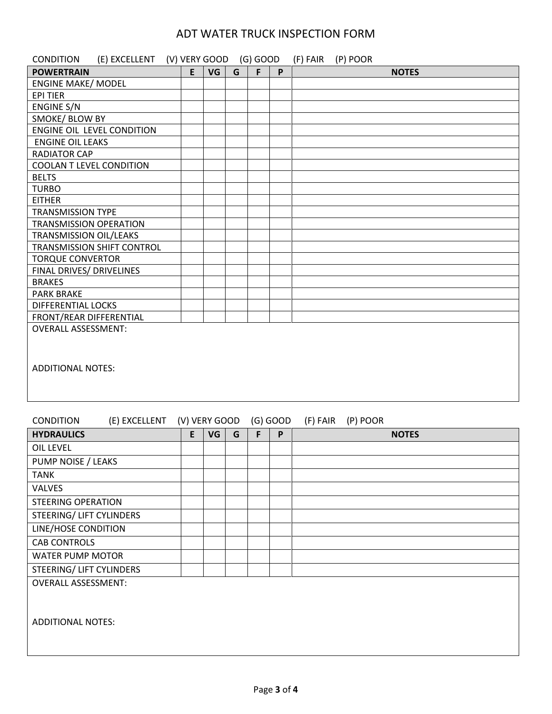| <b>CONDITION</b><br>(E) EXCELLENT (V) VERY GOOD (G) GOOD |   |    |   |   |   | (F) FAIR (P) POOR |
|----------------------------------------------------------|---|----|---|---|---|-------------------|
| <b>POWERTRAIN</b>                                        | E | VG | G | F | P | <b>NOTES</b>      |
| <b>ENGINE MAKE/ MODEL</b>                                |   |    |   |   |   |                   |
| <b>EPI TIER</b>                                          |   |    |   |   |   |                   |
| <b>ENGINE S/N</b>                                        |   |    |   |   |   |                   |
| SMOKE/ BLOW BY                                           |   |    |   |   |   |                   |
| ENGINE OIL LEVEL CONDITION                               |   |    |   |   |   |                   |
| <b>ENGINE OIL LEAKS</b>                                  |   |    |   |   |   |                   |
| <b>RADIATOR CAP</b>                                      |   |    |   |   |   |                   |
| <b>COOLAN T LEVEL CONDITION</b>                          |   |    |   |   |   |                   |
| <b>BELTS</b>                                             |   |    |   |   |   |                   |
| <b>TURBO</b>                                             |   |    |   |   |   |                   |
| <b>EITHER</b>                                            |   |    |   |   |   |                   |
| <b>TRANSMISSION TYPE</b>                                 |   |    |   |   |   |                   |
| <b>TRANSMISSION OPERATION</b>                            |   |    |   |   |   |                   |
| TRANSMISSION OIL/LEAKS                                   |   |    |   |   |   |                   |
| TRANSMISSION SHIFT CONTROL                               |   |    |   |   |   |                   |
| <b>TORQUE CONVERTOR</b>                                  |   |    |   |   |   |                   |
| FINAL DRIVES/ DRIVELINES                                 |   |    |   |   |   |                   |
| <b>BRAKES</b>                                            |   |    |   |   |   |                   |
| <b>PARK BRAKE</b>                                        |   |    |   |   |   |                   |
| <b>DIFFERENTIAL LOCKS</b>                                |   |    |   |   |   |                   |
| FRONT/REAR DIFFERENTIAL                                  |   |    |   |   |   |                   |
| <b>OVERALL ASSESSMENT:</b>                               |   |    |   |   |   |                   |
| <b>ADDITIONAL NOTES:</b>                                 |   |    |   |   |   |                   |

### CONDITION (E) EXCELLENT (V) VERY GOOD (G) GOOD (F) FAIR (P) POOR

| <b>HYDRAULICS</b>          | E | VG | G | F | P | <b>NOTES</b> |
|----------------------------|---|----|---|---|---|--------------|
| OIL LEVEL                  |   |    |   |   |   |              |
| PUMP NOISE / LEAKS         |   |    |   |   |   |              |
| <b>TANK</b>                |   |    |   |   |   |              |
| <b>VALVES</b>              |   |    |   |   |   |              |
| <b>STEERING OPERATION</b>  |   |    |   |   |   |              |
| STEERING/ LIFT CYLINDERS   |   |    |   |   |   |              |
| LINE/HOSE CONDITION        |   |    |   |   |   |              |
| <b>CAB CONTROLS</b>        |   |    |   |   |   |              |
| WATER PUMP MOTOR           |   |    |   |   |   |              |
| STEERING/ LIFT CYLINDERS   |   |    |   |   |   |              |
| <b>OVERALL ASSESSMENT:</b> |   |    |   |   |   |              |
| <b>ADDITIONAL NOTES:</b>   |   |    |   |   |   |              |